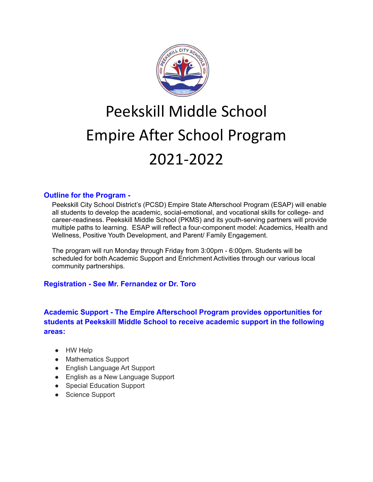

# Peekskill Middle School Empire After School Program 2021-2022

### **Outline for the Program -**

Peekskill City School District's (PCSD) Empire State Afterschool Program (ESAP) will enable all students to develop the academic, social-emotional, and vocational skills for college- and career-readiness. Peekskill Middle School (PKMS) and its youth-serving partners will provide multiple paths to learning. ESAP will reflect a four-component model: Academics, Health and Wellness, Positive Youth Development, and Parent/ Family Engagement.

The program will run Monday through Friday from 3:00pm - 6:00pm. Students will be scheduled for both Academic Support and Enrichment Activities through our various local community partnerships.

# **Registration - See Mr. Fernandez or Dr. Toro**

**Academic Support - The Empire Afterschool Program provides opportunities for students at Peekskill Middle School to receive academic support in the following areas:**

- HW Help
- Mathematics Support
- English Language Art Support
- English as a New Language Support
- Special Education Support
- Science Support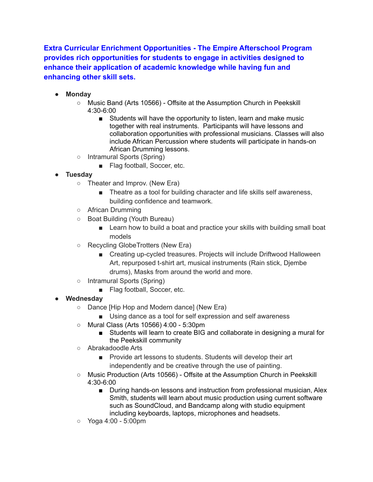**Extra Curricular Enrichment Opportunities - The Empire Afterschool Program provides rich opportunities for students to engage in activities designed to enhance their application of academic knowledge while having fun and enhancing other skill sets.**

- **● Monday**
	- Music Band (Arts 10566) Offsite at the Assumption Church in Peekskill 4:30-6:00
		- Students will have the opportunity to listen, learn and make music together with real instruments. Participants will have lessons and collaboration opportunities with professional musicians. Classes will also include African Percussion where students will participate in hands-on African Drumming lessons.
	- Intramural Sports (Spring)
		- Flag football, Soccer, etc.
- **● Tuesday**
	- Theater and Improv. (New Era)
		- Theatre as a tool for building character and life skills self awareness, building confidence and teamwork.
	- African Drumming
	- Boat Building (Youth Bureau)
		- Learn how to build a boat and practice your skills with building small boat models
	- Recycling GlobeTrotters (New Era)
		- Creating up-cycled treasures. Projects will include Driftwood Halloween Art, repurposed t-shirt art, musical instruments (Rain stick, Djembe drums), Masks from around the world and more.
	- Intramural Sports (Spring)
		- Flag football, Soccer, etc.
- **● Wednesday**
	- Dance [Hip Hop and Modern dance] (New Era)
		- Using dance as a tool for self expression and self awareness
	- Mural Class (Arts 10566) 4:00 5:30pm
		- Students will learn to create BIG and collaborate in designing a mural for the Peekskill community
	- Abrakadoodle Arts
		- Provide art lessons to students. Students will develop their art independently and be creative through the use of painting.
	- Music Production (Arts 10566) Offsite at the Assumption Church in Peekskill 4:30-6:00
		- During hands-on lessons and instruction from professional musician, Alex Smith, students will learn about music production using current software such as SoundCloud, and Bandcamp along with studio equipment including keyboards, laptops, microphones and headsets.
	- Yoga 4:00 5:00pm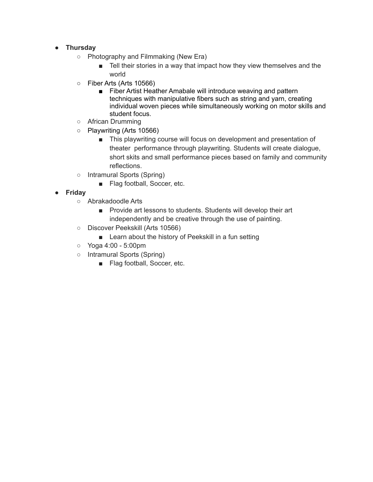### **● Thursday**

- Photography and Filmmaking (New Era)
	- Tell their stories in a way that impact how they view themselves and the world
- Fiber Arts (Arts 10566)
	- Fiber Artist Heather Amabale will introduce weaving and pattern techniques with manipulative fibers such as string and yarn, creating individual woven pieces while simultaneously working on motor skills and student focus.
- African Drumming
- Playwriting (Arts 10566)
	- This playwriting course will focus on development and presentation of theater performance through playwriting. Students will create dialogue, short skits and small performance pieces based on family and community reflections.
- Intramural Sports (Spring)
	- Flag football, Soccer, etc.
- **● Friday**
	- Abrakadoodle Arts
		- Provide art lessons to students. Students will develop their art independently and be creative through the use of painting.
	- Discover Peekskill (Arts 10566)
		- Learn about the history of Peekskill in a fun setting
	- Yoga 4:00 5:00pm
	- Intramural Sports (Spring)
		- Flag football, Soccer, etc.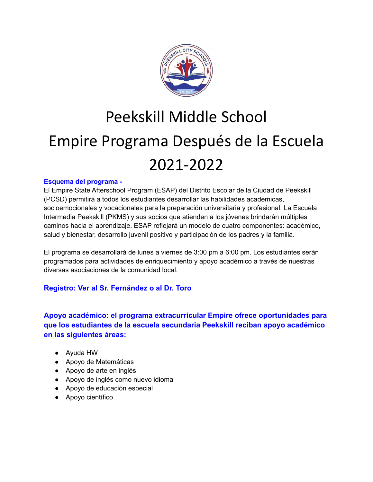

# Peekskill Middle School Empire Programa Después de la Escuela 2021-2022

### **Esquema del programa -**

El Empire State Afterschool Program (ESAP) del Distrito Escolar de la Ciudad de Peekskill (PCSD) permitirá a todos los estudiantes desarrollar las habilidades académicas, socioemocionales y vocacionales para la preparación universitaria y profesional. La Escuela Intermedia Peekskill (PKMS) y sus socios que atienden a los jóvenes brindarán múltiples caminos hacia el aprendizaje. ESAP reflejará un modelo de cuatro componentes: académico, salud y bienestar, desarrollo juvenil positivo y participación de los padres y la familia.

El programa se desarrollará de lunes a viernes de 3:00 pm a 6:00 pm. Los estudiantes serán programados para actividades de enriquecimiento y apoyo académico a través de nuestras diversas asociaciones de la comunidad local.

# **Registro: Ver al Sr. Fernández o al Dr. Toro**

**Apoyo académico: el programa extracurricular Empire ofrece oportunidades para que los estudiantes de la escuela secundaria Peekskill reciban apoyo académico en las siguientes áreas:**

- Ayuda HW
- Apoyo de Matemáticas
- Apoyo de arte en inglés
- Apoyo de inglés como nuevo idioma
- Apoyo de educación especial
- Apoyo científico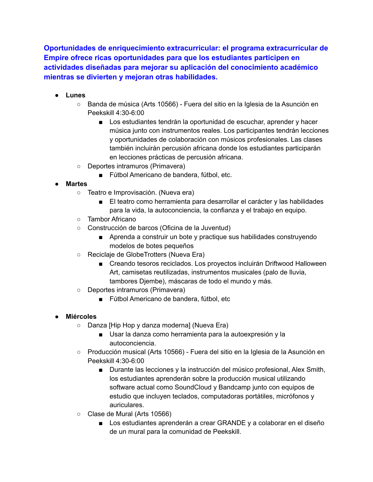**Oportunidades de enriquecimiento extracurricular: el programa extracurricular de Empire ofrece ricas oportunidades para que los estudiantes participen en actividades diseñadas para mejorar su aplicación del conocimiento académico mientras se divierten y mejoran otras habilidades.**

- **● Lunes**
	- Banda de música (Arts 10566) Fuera del sitio en la Iglesia de la Asunción en Peekskill 4:30-6:00
		- Los estudiantes tendrán la oportunidad de escuchar, aprender y hacer música junto con instrumentos reales. Los participantes tendrán lecciones y oportunidades de colaboración con músicos profesionales. Las clases también incluirán percusión africana donde los estudiantes participarán en lecciones prácticas de percusión africana.
	- Deportes intramuros (Primavera)
		- Fútbol Americano de bandera, fútbol, etc.
- **● Martes**
	- Teatro e Improvisación. (Nueva era)
		- El teatro como herramienta para desarrollar el carácter y las habilidades para la vida, la autoconciencia, la confianza y el trabajo en equipo.
	- Tambor Africano
	- Construcción de barcos (Oficina de la Juventud)
		- Aprenda a construir un bote y practique sus habilidades construyendo modelos de botes pequeños
	- Reciclaje de GlobeTrotters (Nueva Era)
		- Creando tesoros reciclados. Los proyectos incluirán Driftwood Halloween Art, camisetas reutilizadas, instrumentos musicales (palo de lluvia, tambores Djembe), máscaras de todo el mundo y más.
	- Deportes intramuros (Primavera)
		- Fútbol Americano de bandera, fútbol, etc

### **● Miércoles**

- Danza [Hip Hop y danza moderna] (Nueva Era)
	- Usar la danza como herramienta para la autoexpresión y la autoconciencia.
- Producción musical (Arts 10566) Fuera del sitio en la Iglesia de la Asunción en Peekskill 4:30-6:00
	- Durante las lecciones y la instrucción del músico profesional, Alex Smith, los estudiantes aprenderán sobre la producción musical utilizando software actual como SoundCloud y Bandcamp junto con equipos de estudio que incluyen teclados, computadoras portátiles, micrófonos y auriculares.
- Clase de Mural (Arts 10566)
	- Los estudiantes aprenderán a crear GRANDE y a colaborar en el diseño de un mural para la comunidad de Peekskill.